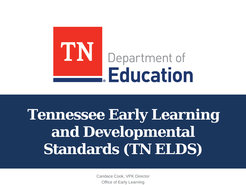

# **Tennessee Early Learning and Developmental Standards (TN ELDS)**

Candace Cook, VPK Director Office of Early Learning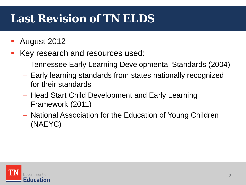# **Last Revision of TN ELDS**

- August 2012
- Key research and resources used:
	- Tennessee Early Learning Developmental Standards (2004)
	- Early learning standards from states nationally recognized for their standards
	- Head Start Child Development and Early Learning Framework (2011)
	- National Association for the Education of Young Children (NAEYC)

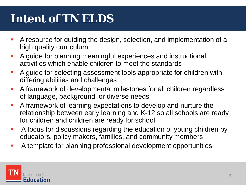# **Intent of TN ELDS**

- A resource for guiding the design, selection, and implementation of a high quality curriculum
- A guide for planning meaningful experiences and instructional activities which enable children to meet the standards
- A guide for selecting assessment tools appropriate for children with differing abilities and challenges
- A framework of developmental milestones for all children regardless of language, background, or diverse needs
- A framework of learning expectations to develop and nurture the relationship between early learning and K-12 so all schools are ready for children and children are ready for school
- A focus for discussions regarding the education of young children by educators, policy makers, families, and community members
- A template for planning professional development opportunities

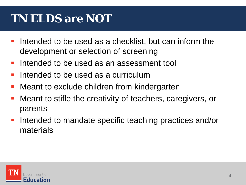# **TN ELDS are** *NOT*

- Intended to be used as a checklist, but can inform the development or selection of screening
- Intended to be used as an assessment tool
- $\blacksquare$  Intended to be used as a curriculum
- Meant to exclude children from kindergarten
- Meant to stifle the creativity of teachers, caregivers, or parents
- Intended to mandate specific teaching practices and/or materials

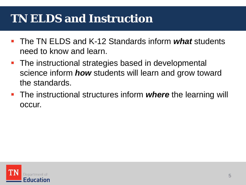# **TN ELDS and Instruction**

- The TN ELDS and K-12 Standards inform *what* students need to know and learn.
- **The instructional strategies based in developmental** science inform *how* students will learn and grow toward the standards.
- **The instructional structures inform** *where* the learning will occur.

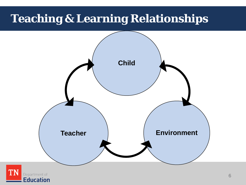# **Teaching & Learning Relationships**



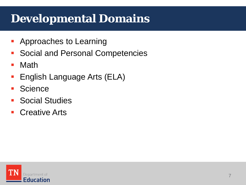#### **Developmental Domains**

- **-** Approaches to Learning
- **Social and Personal Competencies**
- Math
- English Language Arts (ELA)
- **Science**
- **Social Studies**
- Creative Arts

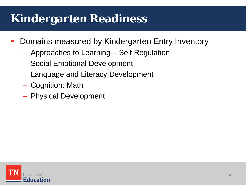# **Kindergarten Readiness**

- Domains measured by Kindergarten Entry Inventory
	- Approaches to Learning Self Regulation
	- Social Emotional Development
	- Language and Literacy Development
	- Cognition: Math
	- Physical Development

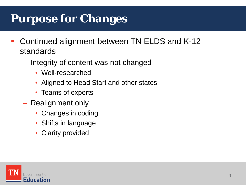# **Purpose for Changes**

- Continued alignment between TN ELDS and K-12 standards
	- Integrity of content was not changed
		- Well-researched
		- Aligned to Head Start and other states
		- Teams of experts
	- Realignment only
		- Changes in coding
		- Shifts in language
		- **Clarity provided**

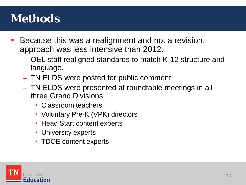# **Methods**

- Because this was a realignment and not a revision, approach was less intensive than 2012.
	- OEL staff realigned standards to match K-12 structure and language.
	- TN ELDS were posted for public comment
	- TN ELDS were presented at roundtable meetings in all three Grand Divisions.
		- Classroom teachers
		- Voluntary Pre-K (VPK) directors
		- Head Start content experts
		- University experts
		- TDOE content experts

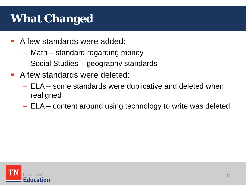# **What Changed**

- A few standards were added:
	- Math standard regarding money
	- Social Studies geography standards
- A few standards were deleted:
	- ELA some standards were duplicative and deleted when realigned
	- ELA content around using technology to write was deleted

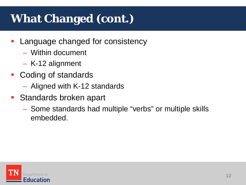# **What Changed (cont.)**

- Language changed for consistency
	- Within document
	- K-12 alignment
- Coding of standards
	- Aligned with K-12 standards
- **Standards broken apart** 
	- Some standards had multiple "verbs" or multiple skills embedded.

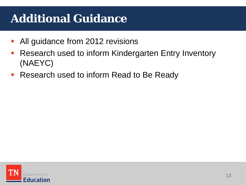# **Additional Guidance**

- All guidance from 2012 revisions
- **Research used to inform Kindergarten Entry Inventory** (NAEYC)
- **Research used to inform Read to Be Ready**

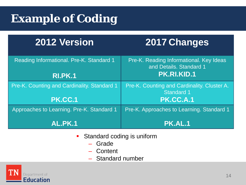# **Example of Coding**

#### **2012 Version 2017 Changes**

| Reading Informational. Pre-K. Standard 1<br><b>RI.PK.1</b> | Pre-K. Reading Informational. Key Ideas<br>and Details. Standard 1<br><b>PK.RI.KID.1</b> |
|------------------------------------------------------------|------------------------------------------------------------------------------------------|
|                                                            |                                                                                          |
| Pre-K. Counting and Cardinality. Standard 1                | Pre-K. Counting and Cardinality. Cluster A.<br><b>Standard 1</b>                         |
| <b>PK.CC.1</b>                                             | <b>PK.CC.A.1</b>                                                                         |
| Approaches to Learning. Pre-K. Standard 1                  | Pre-K. Approaches to Learning. Standard 1                                                |
| <b>AL.PK.1</b>                                             | <b>PK.AL.1</b>                                                                           |

- **Standard coding is uniform** 
	- Grade
	- Content
	- Standard number

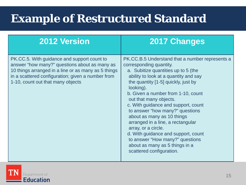# **Example of Restructured Standard**

| <b>2012 Version</b>                                                                                                                                                                                                                           | <b>2017 Changes</b>                                                                                                                                                                                                                                                                                                                                                                                                                                                                                                                                                                        |
|-----------------------------------------------------------------------------------------------------------------------------------------------------------------------------------------------------------------------------------------------|--------------------------------------------------------------------------------------------------------------------------------------------------------------------------------------------------------------------------------------------------------------------------------------------------------------------------------------------------------------------------------------------------------------------------------------------------------------------------------------------------------------------------------------------------------------------------------------------|
| PK.CC.5. With guidance and support count to<br>answer "how many?" questions about as many as<br>10 things arranged in a line or as many as 5 things<br>in a scattered configuration; given a number from<br>1-10, count out that many objects | PK.CC.B.5 Understand that a number represents a<br>corresponding quantity.<br>a. Subitize quantities up to 5 (the<br>ability to look at a quantity and say<br>the quantity [1-5] quickly, just by<br>looking).<br>b. Given a number from 1-10, count<br>out that many objects.<br>c. With guidance and support, count<br>to answer "how many?" questions<br>about as many as 10 things<br>arranged in a line, a rectangular<br>array, or a circle.<br>d. With guidance and support, count<br>to answer "How many?" questions<br>about as many as 5 things in a<br>scattered configuration. |

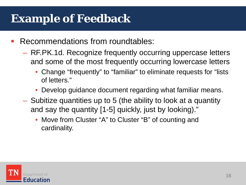# **Example of Feedback**

- Recommendations from roundtables:
	- RF.PK.1d. Recognize frequently occurring uppercase letters and some of the most frequently occurring lowercase letters
		- Change "frequently" to "familiar" to eliminate requests for "lists of letters."
		- Develop guidance document regarding what familiar means.
	- Subitize quantities up to 5 (the ability to look at a quantity and say the quantity [1-5] quickly, just by looking)."
		- Move from Cluster "A" to Cluster "B" of counting and cardinality.

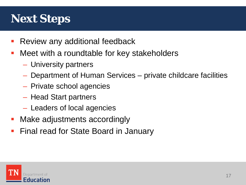# **Next Steps**

- Review any additional feedback
- Meet with a roundtable for key stakeholders
	- University partners
	- Department of Human Services private childcare facilities
	- Private school agencies
	- Head Start partners
	- Leaders of local agencies
- **Make adjustments accordingly**
- Final read for State Board in January